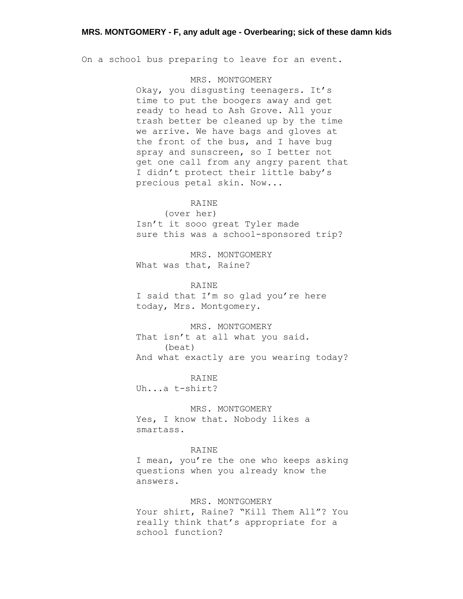On a school bus preparing to leave for an event.

# MRS. MONTGOMERY

Okay, you disgusting teenagers. It's time to put the boogers away and get ready to head to Ash Grove. All your trash better be cleaned up by the time we arrive. We have bags and gloves at the front of the bus, and I have bug spray and sunscreen, so I better not get one call from any angry parent that I didn't protect their little baby's precious petal skin. Now...

# RAINE

(over her) Isn't it sooo great Tyler made sure this was a school-sponsored trip?

MRS. MONTGOMERY What was that, Raine?

RAINE

I said that I'm so glad you're here today, Mrs. Montgomery.

MRS. MONTGOMERY That isn't at all what you said. (beat) And what exactly are you wearing today?

RAINE Uh...a t-shirt?

MRS. MONTGOMERY Yes, I know that. Nobody likes a smartass.

### RAINE

I mean, you're the one who keeps asking questions when you already know the answers.

MRS. MONTGOMERY Your shirt, Raine? "Kill Them All"? You

really think that's appropriate for a school function?